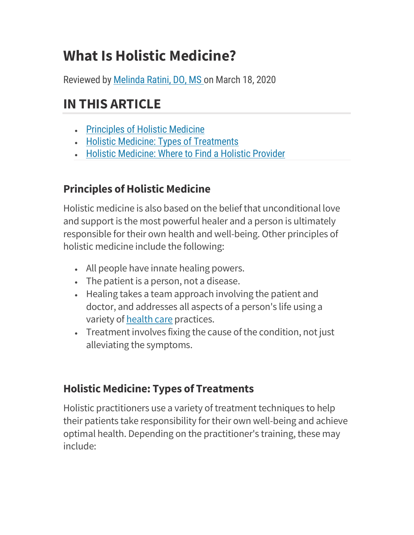# What Is Holistic Medicine?

Reviewed by Melinda Ratini, DO, MS on March 18, 2020

## IN THIS ARTICLE

- Principles of Holistic Medicine
- Holistic Medicine: Types of Treatments
- Holistic Medicine: Where to Find a Holistic Provider

### Principles of Holistic Medicine

Holistic medicine is also based on the belief that unconditional love and support is the most powerful healer and a person is ultimately responsible for their own health and well-being. Other principles of holistic medicine include the following:

- All people have innate healing powers.
- The patient is a person, not a disease.
- Healing takes a team approach involving the patient and doctor, and addresses all aspects of a person's life using a variety of health care practices.
- Treatment involves fixing the cause of the condition, not just alleviating the symptoms.

#### Holistic Medicine: Types of Treatments

Holistic practitioners use a variety of treatment techniques to help their patients take responsibility for their own well-being and achieve optimal health. Depending on the practitioner's training, these may include: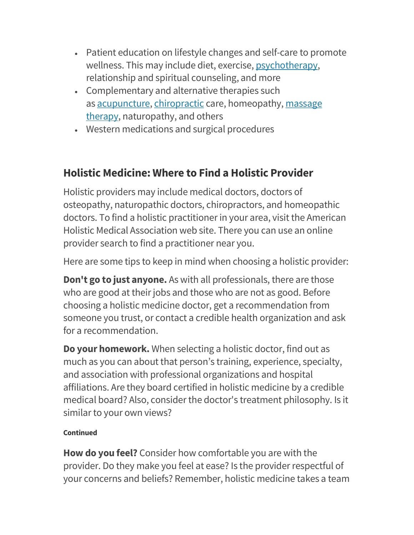- Patient education on lifestyle changes and self-care to promote wellness. This may include diet, exercise, psychotherapy, relationship and spiritual counseling, and more
- Complementary and alternative therapies such as acupuncture, chiropractic care, homeopathy, massage therapy, naturopathy, and others
- Western medications and surgical procedures

#### Holistic Medicine: Where to Find a Holistic Provider

Holistic providers may include medical doctors, doctors of osteopathy, naturopathic doctors, chiropractors, and homeopathic doctors. To find a holistic practitioner in your area, visit the American Holistic Medical Association web site. There you can use an online provider search to find a practitioner near you.

Here are some tips to keep in mind when choosing a holistic provider:

Don't go to just anyone. As with all professionals, there are those who are good at their jobs and those who are not as good. Before choosing a holistic medicine doctor, get a recommendation from someone you trust, or contact a credible health organization and ask for a recommendation.

Do your homework. When selecting a holistic doctor, find out as much as you can about that person's training, experience, specialty, and association with professional organizations and hospital affiliations. Are they board certified in holistic medicine by a credible medical board? Also, consider the doctor's treatment philosophy. Is it similar to your own views?

#### Continued

How do you feel? Consider how comfortable you are with the provider. Do they make you feel at ease? Is the provider respectful of your concerns and beliefs? Remember, holistic medicine takes a team